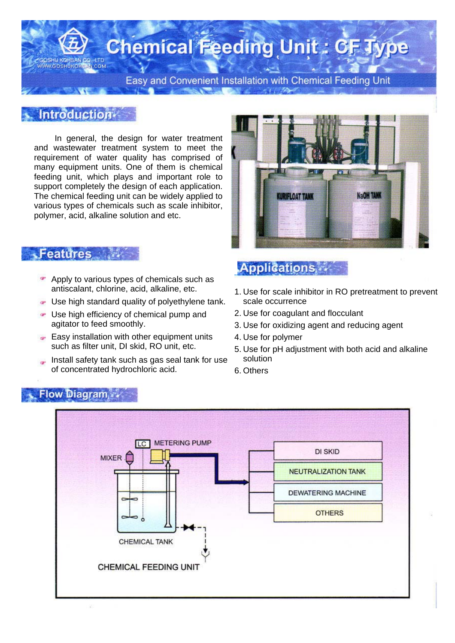# **Chemical Feeding Unit: CF Type**

Easy and Convenient Installation with Chemical Feeding Unit

#### **Introduction**

**MAGOSHUKOL** 

LCOM

In general, the design for water treatment and wastewater treatment system to meet the requirement of water quality has comprised of many equipment units. One of them is chemical feeding unit, which plays and important role to support completely the design of each application. The chemical feeding unit can be widely applied to various types of chemicals such as scale inhibitor, polymer, acid, alkaline solution and etc.

# **KURIFLOAT TANK** NaOH TANK

#### **Features**

- **Apply to various types of chemicals such as** antiscalant, chlorine, acid, alkaline, etc.
- Use high standard quality of polyethylene tank.
- Use high efficiency of chemical pump and agitator to feed smoothly.
- $\blacktriangleright$  Easy installation with other equipment units such as filter unit, DI skid, RO unit, etc.
- Install safety tank such as gas seal tank for use of concentrated hydrochloric acid.

### **Applications**

- 1. Use for scale inhibitor in RO pretreatment to prevent scale occurrence
- 2. Use for coagulant and flocculant
- 3. Use for oxidizing agent and reducing agent
- 4. Use for polymer
- 5. Use for pH adjustment with both acid and alkaline solution
- 6. Others